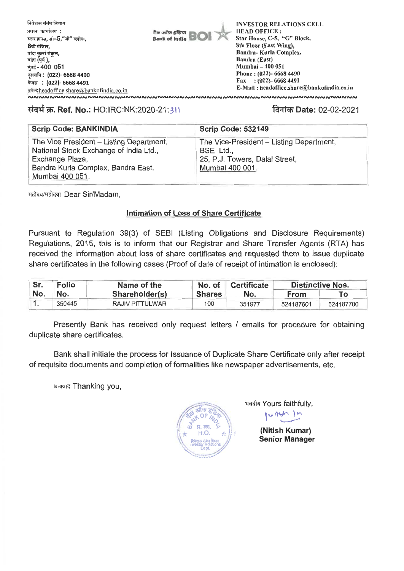

## **140'W. Ref. No.: HO:IRC:NK:2020-21:** q-lIch **Date: 02-02-2021**

| <b>Scrip Code: BANKINDIA</b>             | <b>Scrip Code: 532149</b>                |
|------------------------------------------|------------------------------------------|
| The Vice President – Listing Department, | The Vice-President – Listing Department, |
| National Stock Exchange of India Ltd.,   | BSE Ltd.,                                |
| Exchange Plaza,                          | 25, P.J. Towers, Dalal Street,           |
| Bandra Kurla Complex, Bandra East,       | Mumbai 400 001.                          |
| Mumbai 400 051.                          |                                          |

महोदय/महोदया Dear Sir/Madam,

## **Intimation of Loss of Share Certificate**

Pursuant to Regulation 39(3) of SEBI (Listing Obligations and Disclosure Requirements) Regulations, 2015, this is to inform that our Registrar and Share Transfer Agents (RTA) has received the information about loss of share certificates and requested them to issue duplicate share certificates in the following cases (Proof of date of receipt of intimation is enclosed):

| Sr. | Folio<br>No. | Name of the<br>Shareholder(s) | No. of $\parallel$<br><b>Shares</b> | <b>Certificate</b><br>No. | <b>Distinctive Nos.</b> |           |
|-----|--------------|-------------------------------|-------------------------------------|---------------------------|-------------------------|-----------|
| No. |              |                               |                                     |                           | From                    |           |
|     | 350445       | RAJIV PITTULWAR               | 100                                 | 351977                    | 524187601               | 524187700 |

Presently Bank has received only request letters / emails for procedure for obtaining duplicate share certificates.

Bank shall initiate the process for Issuance of Duplicate Share Certificate only after receipt of requisite documents and completion of formalities like newspaper advertisements, etc.

धन्यवाद Thanking you,



भवदीय Yours faithfully,

ihk\ )

**(Nitish Kumar) Senior Manager**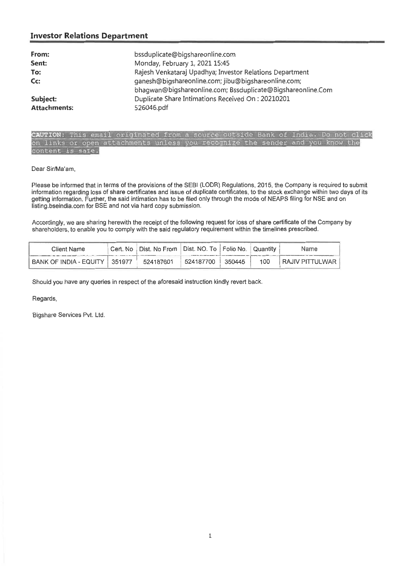## **Investor Relations Department**

| From:<br>Sent:<br>To:<br>Cc: | bssduplicate@bigshareonline.com<br>Monday, February 1, 2021 15:45<br>Rajesh Venkataraj Upadhya; Investor Relations Department<br>ganesh@bigshareonline.com; jibu@bigshareonline.com;<br>bhagwan@bigshareonline.com; Bssduplicate@Bigshareonline.Com |
|------------------------------|-----------------------------------------------------------------------------------------------------------------------------------------------------------------------------------------------------------------------------------------------------|
| Subject:                     | Duplicate Share Intimations Received On: 20210201                                                                                                                                                                                                   |
| <b>Attachments:</b>          | 526046.pdf                                                                                                                                                                                                                                          |

CAUTION: This email originated from a source outside Bank of India. Do not click on links or open attachments unless you recognize the sender and you know the content is safe.

Dear Sir/Ma'am,

Please be informed that in terms of the provisions of the SEBI (LODR) Regulations, 2015, the Company is required to submit information regarding loss of share certificates and issue of duplicate certificates, to the stock exchange within two days of its getting information. Further, the said intimation has to be filed only through the mode of NEAPS filing for NSE and on listing.bseindia.com for BSE and not via hard copy submission.

Accordingly, we are sharing herewith the receipt of the following request for loss of share certificate of the Company by shareholders, to enable you to comply with the said regulatory requirement within the timelines prescribed.

| <b>Client Name</b>              | Cert. No   Dist. No From   Dist. NO. To   Folio No.   Quantity |           |         |     | Name              |
|---------------------------------|----------------------------------------------------------------|-----------|---------|-----|-------------------|
| BANK OF INDIA - EQUITY   351977 | 524187601                                                      | 524187700 | .350445 | 100 | ! RAJIV PITTULWAR |

Should you have any queries in respect of the aforesaid instruction kindly revert back.

Regards,

Bigshare Services Pvt. **Ltd.**